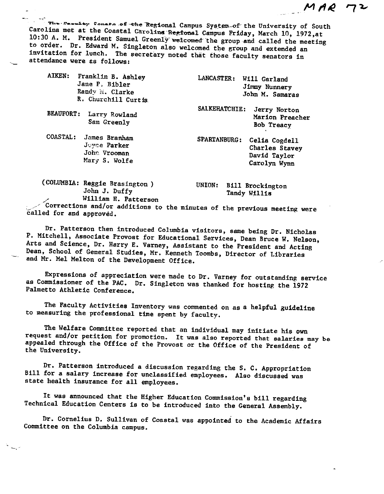The Fession Consta of the Regional Campus System of the University of South Carolina met at the Coastal Carolina Regional Campus Friday, March 10, 1972,at 10:30 A. M. President Samuel Greenly welcomed the group and called the meeting to order. Dr. Edward M. Singleton also welcomed the group and extended an invitation for lunch. The secretary noted that those faculty senators in attendance were as follows:

|  | AIKEN: Franklin B. Ashley |
|--|---------------------------|
|  | Jane P. Bibler            |
|  | Randy M. Clarke           |
|  | R. Churchill Curtis.      |

BEAUFORT: Larry Rowland Sam Greenly

COASTAL: James Branham Jeyce Parker Johr,. Vrooman Mary S. Wolfe

-.

(COLUMBIA: Reggie Brasington ) John J. Duffy William H. Patterson LANCASTER: Will Garland Jimmy Nunnery John M. Samaras MAR

7 2

SALKEHATCHIE: Jerry Norton Marion Preacher Bob Treacy

SPARTANBURG: Celia Cogdell Charles Stavey David Taylor Carolyn Wynn

UNION: Bill Brockington Tandy WHlis

 $\sim$  Corrections and/or additions to the minutes of the previous meeting were called for and approved.

Dr. Patterson then introduced Columbia visitors, same being Dr. Nicholas P. Mitchell, Associate Provost for Educational Services, Dean Bruce W. Nelson, Arts and Science, Dr. Harry E. Varney, Assistant to the President and Acting Dean, School of General Studies, Mr. Kenneth Toombs, Director of Libraries and Mr. Mel Melton of the Development Office.

Expressions of appreciation were made to Dr. Varney for outstanding service as Commissioner of the PAC. Dr. Singleton was thanked for hosting the 1972 Palmetto Athletic Conference,

The Faculty Activities Inventory was commented on as a helpful guideline to measuring the professional time spent by faculty,

The Welfare Committee reported that an individual may initiate his own<br>request and/or petition for promotion. It was also reported that salaries may be<br>appealed through the Office of the Provost or the Office of the Presid the University.

Dr, Patterson introduced a discussion regarding the S. C, Appropriation Bill for a salary increase for unclassified employees. Also discussed was state health insurance for all employees.

It was announced that the Higher Education Commission's bill regarding Technical Education Centers is to be introduced into the General Assembly.

Dr. Cornelius D. Sullivan of Coastal was appointed to the Academic Affairs Committee on the Columbia campus.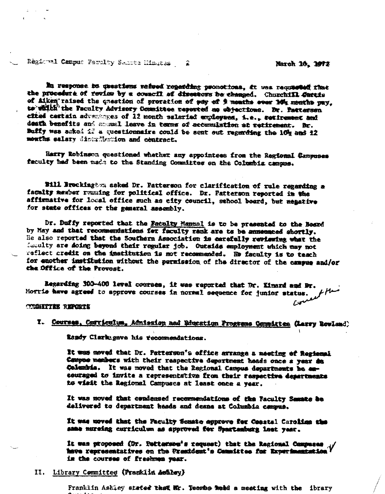Regional Campus Faculty Semite Himstes £

March 10, 1972

مهن

In response bu questions raised regarding promotions, it was requested that the procedure of review by a council of diseasors be changed. Churchill Cartis of Aiken raised the question of proration of pay of 9 months ever 10% months pay. to which the Faculty Advisory Committee reported as objections. Dr. Patterson efted certain adventoges of 12 month salariad employmes, i.e., retirement and death benefits and amousl leave in terms of accumulation at retirement. Br. Buffy was asked if a questionnaire could be sent out regarding the 10g and 12 months salary distribution and contract.

Harry Robinson questioned whether any appointees from the Regional Campuses faculty had been made to the Standing Committee on the Columbia campus.

Bill Brockington asked Dr. Patterson for clarification of rule regarding a faculty member remaing for political office. Dr. Patterson reported in the affirmative for local office such as eity council, school board, but negative for state offices or the general assembly.

Dr. Duffy reported that the Faculty Manual is to be presented to the Bosrd by May and that recommendations for faculty rank are to be anneunced shortly. He also reported that the Southern Association is carefully reviewing what the faculty are doing beyond their regular job. Outside employment which may not reflect credit on the institution is not recommended. No faculty is to teach for enother institution without the permission of the director of the campus and/or the Office of the Provost.

Regarding 300-400 level courses, it was reported that Dr. Kinard and Dr. Morrie have agreed to approve courses in normal sequence for junior status.

## **COMMITTEE REPORTS**

## I. Courses, Corrienium, Admission and Education Programs Committee (Larry Rowland)

Randy Clarkegave his recommendations.

It was moved that Dr. Patterson's office arrange a meeting of Regional Cempus members with their respective department heads once a year as Columbia. It was moved that the Regional Campus departments be encouraged to invite a representativa from their respective departments to wisit the Regional Campuses at least once a year.

It was noved that condensed recommendations of the Faculty Semate be delivered to department heads and deans at Columbia campus.

It was woved that the Faculty Senate approve for Coostal Carolina the same nursing curriculum as approved for Spartanburg last year.

It was proposed (Dr. Pattersbu's request) that the Regional Campuses ... / in the courses of freehome year.

## II. Library Committee (Pranklin Authory)

Franklin Ashiey stated that Mr. Teembs medd a meeting with the ibrary